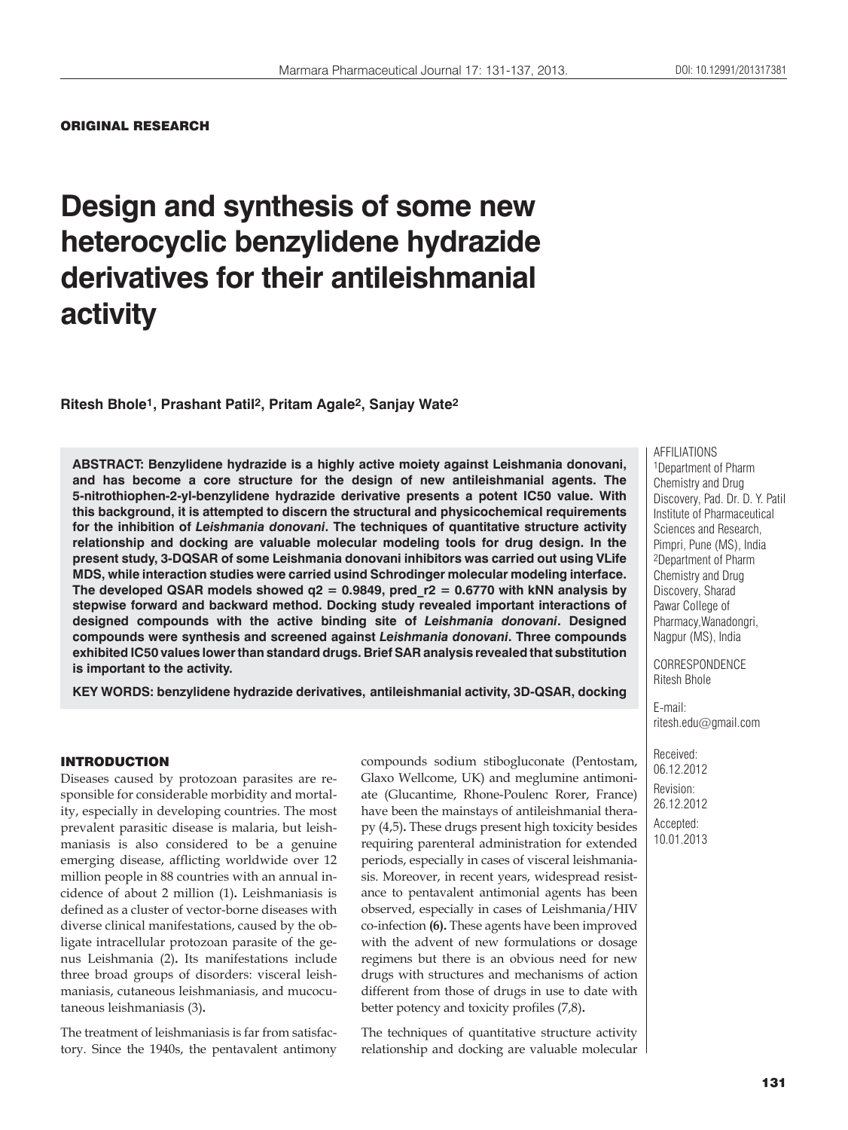## ORIGINAL RESEARCH

# **Design and synthesis of some new heterocyclic benzylidene hydrazide derivatives for their antileishmanial activity**

**Ritesh Bhole1, Prashant Patil2, Pritam Agale2, Sanjay Wate2**

**ABSTRACT: Benzylidene hydrazide is a highly active moiety against Leishmania donovani, and has become a core structure for the design of new antileishmanial agents. The 5-nitrothiophen-2-yl-benzylidene hydrazide derivative presents a potent IC50 value. With this background, it is attempted to discern the structural and physicochemical requirements for the inhibition of** *Leishmania donovani***. The techniques of quantitative structure activity relationship and docking are valuable molecular modeling tools for drug design. In the present study, 3-DQSAR of some Leishmania donovani inhibitors was carried out using VLife MDS, while interaction studies were carried usind Schrodinger molecular modeling interface.**  The developed QSAR models showed  $q2 = 0.9849$ , pred  $r2 = 0.6770$  with kNN analysis by **stepwise forward and backward method. Docking study revealed important interactions of designed compounds with the active binding site of** *Leishmania donovani***. Designed compounds were synthesis and screened against** *Leishmania donovani***. Three compounds exhibited IC50 values lower than standard drugs. Brief SAR analysis revealed that substitution is important to the activity.**

**KEY WORDS: benzylidene hydrazide derivatives, antileishmanial activity, 3D-QSAR, docking**

# INTRODUCTION

Diseases caused by protozoan parasites are responsible for considerable morbidity and mortality, especially in developing countries. The most prevalent parasitic disease is malaria, but leishmaniasis is also considered to be a genuine emerging disease, afflicting worldwide over 12 million people in 88 countries with an annual incidence of about 2 million (1)**.** Leishmaniasis is defined as a cluster of vector-borne diseases with diverse clinical manifestations, caused by the obligate intracellular protozoan parasite of the genus Leishmania (2)**.** Its manifestations include three broad groups of disorders: visceral leishmaniasis, cutaneous leishmaniasis, and mucocutaneous leishmaniasis (3)**.**

The treatment of leishmaniasis is far from satisfactory. Since the 1940s, the pentavalent antimony compounds sodium stibogluconate (Pentostam, Glaxo Wellcome, UK) and meglumine antimoniate (Glucantime, Rhone-Poulenc Rorer, France) have been the mainstays of antileishmanial therapy (4,5)**.** These drugs present high toxicity besides requiring parenteral administration for extended periods, especially in cases of visceral leishmaniasis. Moreover, in recent years, widespread resistance to pentavalent antimonial agents has been observed, especially in cases of Leishmania/HIV co-infection **(6).** These agents have been improved with the advent of new formulations or dosage regimens but there is an obvious need for new drugs with structures and mechanisms of action different from those of drugs in use to date with better potency and toxicity profiles (7,8)**.**

The techniques of quantitative structure activity relationship and docking are valuable molecular AFFILIATIONS 1Department of Pharm Chemistry and Drug Discovery, Pad. Dr. D. Y. Patil Institute of Pharmaceutical Sciences and Research, Pimpri, Pune (MS), India 2Department of Pharm Chemistry and Drug Discovery, Sharad Pawar College of Pharmacy,Wanadongri, Nagpur (MS), India

CORRESPONDENCE Ritesh Bhole

E-mail: ritesh.edu@gmail.com

Received: 06.12.2012 Revision: 26.12.2012 Accepted: 10.01.2013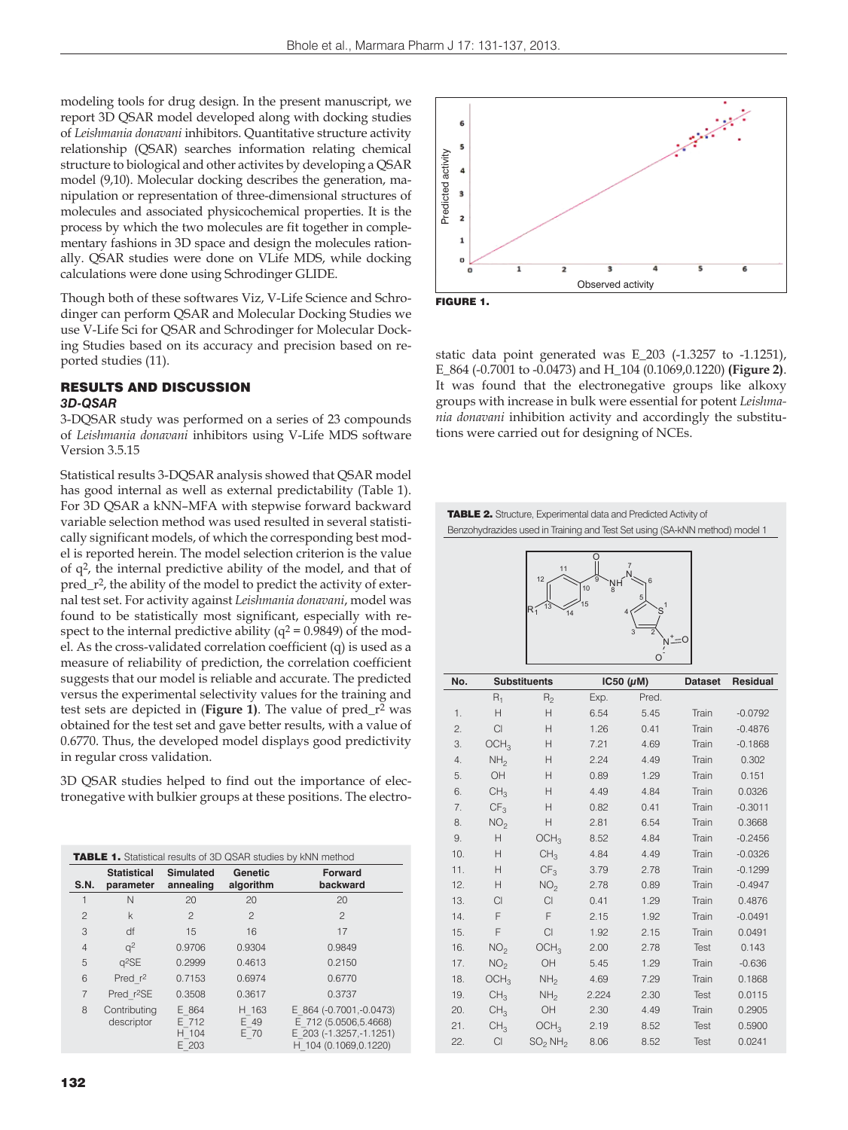modeling tools for drug design. In the present manuscript, we report 3D QSAR model developed along with docking studies of *Leishmania donavani* inhibitors. Quantitative structure activity relationship (QSAR) searches information relating chemical structure to biological and other activites by developing a QSAR model (9,10). Molecular docking describes the generation, manipulation or representation of three-dimensional structures of molecules and associated physicochemical properties. It is the process by which the two molecules are fit together in complementary fashions in 3D space and design the molecules rationally. QSAR studies were done on VLife MDS, while docking calculations were done using Schrodinger GLIDE.

Though both of these softwares Viz, V-Life Science and Schrodinger can perform QSAR and Molecular Docking Studies we use V-Life Sci for QSAR and Schrodinger for Molecular Docking Studies based on its accuracy and precision based on reported studies (11).

# RESULTS AND DISCUSSION *3D-QSAR*

3-DQSAR study was performed on a series of 23 compounds of *Leishmania donavani* inhibitors using V-Life MDS software Version 3.5.15

Statistical results 3-DQSAR analysis showed that QSAR model has good internal as well as external predictability (Table 1). For 3D QSAR a kNN–MFA with stepwise forward backward variable selection method was used resulted in several statistically significant models, of which the corresponding best model is reported herein. The model selection criterion is the value of q2, the internal predictive ability of the model, and that of pred\_r2, the ability of the model to predict the activity of external test set. For activity against *Leishmania donavani*, model was found to be statistically most significant, especially with respect to the internal predictive ability ( $q^2$  = 0.9849) of the model. As the cross-validated correlation coefficient (q) is used as a measure of reliability of prediction, the correlation coefficient suggests that our model is reliable and accurate. The predicted versus the experimental selectivity values for the training and test sets are depicted in (**Figure 1)**. The value of pred\_r2 was obtained for the test set and gave better results, with a value of 0.6770. Thus, the developed model displays good predictivity in regular cross validation.

3D QSAR studies helped to find out the importance of electronegative with bulkier groups at these positions. The electro-

| <b>TABLE 1.</b> Statistical results of 3D QSAR studies by kNN method |                                 |                                  |                       |                                                                                                        |  |  |
|----------------------------------------------------------------------|---------------------------------|----------------------------------|-----------------------|--------------------------------------------------------------------------------------------------------|--|--|
| S.N.                                                                 | <b>Statistical</b><br>parameter | <b>Simulated</b><br>annealing    | Genetic<br>algorithm  | <b>Forward</b><br>backward                                                                             |  |  |
|                                                                      | N                               | 20                               | 20                    | 20                                                                                                     |  |  |
| $\overline{c}$                                                       | k                               | $\mathfrak{p}$                   | $\mathfrak{D}$        | $\mathfrak{D}$                                                                                         |  |  |
| 3                                                                    | df                              | 15                               | 16                    | 17                                                                                                     |  |  |
| $\overline{4}$                                                       | q <sup>2</sup>                  | 0.9706                           | 0.9304                | 0.9849                                                                                                 |  |  |
| 5                                                                    | $q^2$ SE                        | 0.2999                           | 0.4613                | 0.2150                                                                                                 |  |  |
| 6                                                                    | Pred $r^2$                      | 0.7153                           | 0.6974                | 0.6770                                                                                                 |  |  |
| $\overline{7}$                                                       | Pred r <sup>2</sup> SE          | 0.3508                           | 0.3617                | 0.3737                                                                                                 |  |  |
| 8                                                                    | Contributing<br>descriptor      | E 864<br>E 712<br>H 104<br>E 203 | H 163<br>E 49<br>E 70 | E 864 (-0.7001, -0.0473)<br>E 712 (5.0506,5.4668)<br>E 203 (-1.3257, -1.1251)<br>H 104 (0.1069,0.1220) |  |  |



static data point generated was E\_203 (-1.3257 to -1.1251), E\_864 (-0.7001 to -0.0473) and H\_104 (0.1069,0.1220) **(Figure 2)**. It was found that the electronegative groups like alkoxy groups with increase in bulk were essential for potent *Leishmania donavani* inhibition activity and accordingly the substitutions were carried out for designing of NCEs.

TABLE 2. Structure, Experimental data and Predicted Activity of Benzohydrazides used in Training and Test Set using (SA-kNN method) model 1



| No. |                  | <b>Substituents</b>             |       | IC50 $(\mu M)$ |       | Residual  |
|-----|------------------|---------------------------------|-------|----------------|-------|-----------|
|     | $R_1$            | $R_{2}$                         | Exp.  | Pred.          |       |           |
| 1.  | Н                | H                               | 6.54  | 5.45           | Train | $-0.0792$ |
| 2.  | Cl               | Н                               | 1.26  | 0.41           | Train | $-0.4876$ |
| 3.  | OCH <sub>3</sub> | Н                               | 7.21  | 4.69           | Train | $-0.1868$ |
| 4.  | NH <sub>2</sub>  | Н                               | 2.24  | 4.49           | Train | 0.302     |
| 5.  | OH               | H                               | 0.89  | 1.29           | Train | 0.151     |
| 6.  | CH <sub>3</sub>  | Н                               | 4.49  | 4.84           | Train | 0.0326    |
| 7.  | CF <sub>3</sub>  | Н                               | 0.82  | 0.41           | Train | $-0.3011$ |
| 8.  | NO <sub>2</sub>  | Н                               | 2.81  | 6.54           | Train | 0.3668    |
| 9.  | Н                | OCH <sub>3</sub>                | 8.52  | 4.84           | Train | $-0.2456$ |
| 10. | H                | CH <sub>3</sub>                 | 4.84  | 4.49           | Train | $-0.0326$ |
| 11. | H                | CF <sub>3</sub>                 | 3.79  | 2.78           | Train | $-0.1299$ |
| 12. | H                | NO <sub>2</sub>                 | 2.78  | 0.89           | Train | $-0.4947$ |
| 13. | <b>CI</b>        | Cl                              | 0.41  | 1.29           | Train | 0.4876    |
| 14. | F                | F                               | 2.15  | 1.92           | Train | $-0.0491$ |
| 15. | F                | $\mathop{\hbox{\rm Cl}}$        | 1.92  | 2.15           | Train | 0.0491    |
| 16. | NO <sub>2</sub>  | OCH <sub>3</sub>                | 2.00  | 2.78           | Test  | 0.143     |
| 17. | NO <sub>2</sub>  | OH                              | 5.45  | 1.29           | Train | $-0.636$  |
| 18. | OCH <sub>3</sub> | NH <sub>2</sub>                 | 4.69  | 7.29           | Train | 0.1868    |
| 19. | CH <sub>3</sub>  | NH <sub>2</sub>                 | 2.224 | 2.30           | Test  | 0.0115    |
| 20. | CH <sub>3</sub>  | OH                              | 2.30  | 4.49           | Train | 0.2905    |
| 21. | CH <sub>3</sub>  | OCH <sub>3</sub>                | 2.19  | 8.52           | Test  | 0.5900    |
| 22. | Cl               | SO <sub>2</sub> NH <sub>2</sub> | 8.06  | 8.52           | Test  | 0.0241    |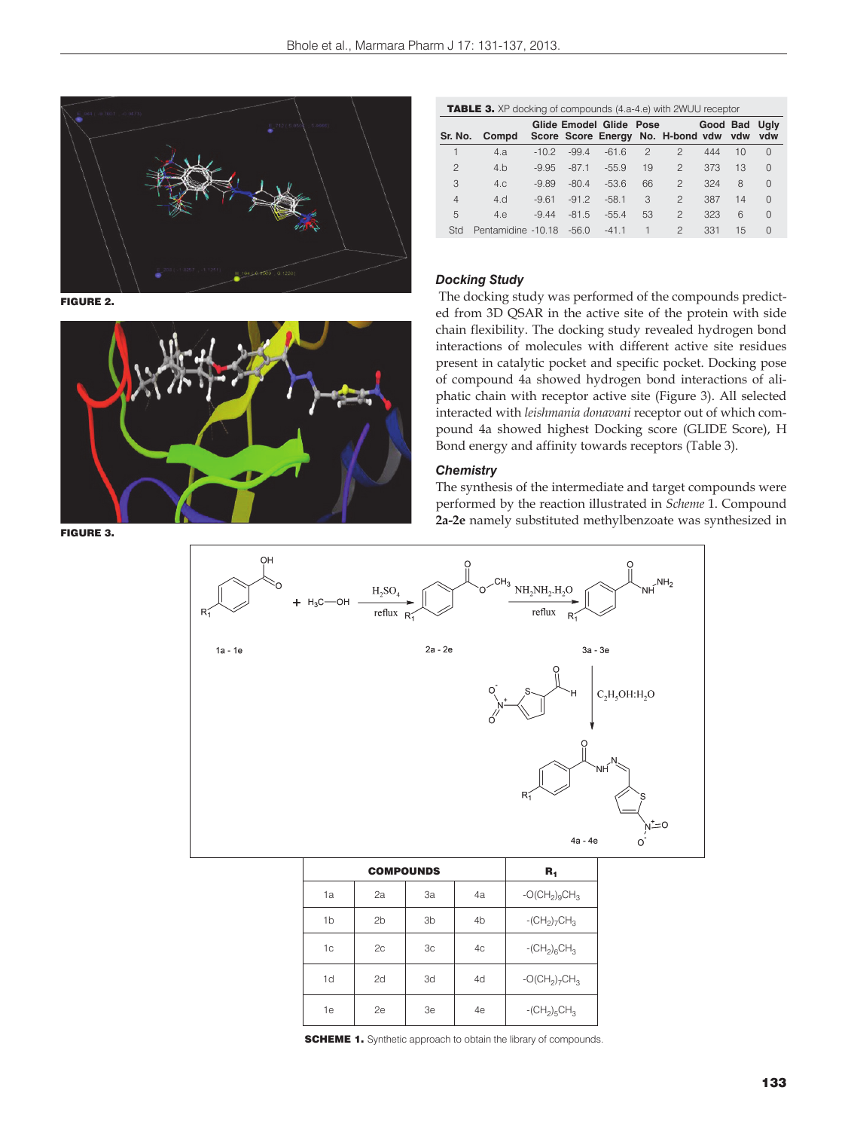

FIGURE 2.



TABLE 3. XP docking of compounds (4.a-4.e) with 2WUU receptor

|                | Sr. No. Compd      |         |         | Glide Emodel Glide Pose |    | Score Score Energy No. H-bond vdw vdw vdw | <b>Good Bad Ugly</b> |    |          |
|----------------|--------------------|---------|---------|-------------------------|----|-------------------------------------------|----------------------|----|----------|
|                | 4.a                | $-10.2$ | $-99.4$ | $-61.6$                 | 2  | 2                                         | 444                  | 10 | $\Omega$ |
| $\overline{c}$ | 4.b                | $-9.95$ | $-87.1$ | $-55.9$                 | 19 | $\overline{2}$                            | 373                  | 13 | $\Omega$ |
| 3              | 4.c.               | $-9.89$ | $-80.4$ | $-536$                  | 66 | $\mathfrak{D}$                            | 324                  | 8  | $\Omega$ |
| $\overline{4}$ | 4.d                | $-961$  | $-91.2$ | $-58.1$                 | 3  | $\mathcal{P}$                             | 387                  | 14 | $\Omega$ |
| 5              | 4.e                | $-9.44$ | $-81.5$ | $-55.4$                 | 53 | 2                                         | 323                  | 6  | $\Omega$ |
| Std            | Pentamidine -10.18 |         | $-56.0$ | $-41.1$                 |    | $\mathcal{P}$                             | 331                  | 15 |          |

# *Docking Study*

 The docking study was performed of the compounds predicted from 3D QSAR in the active site of the protein with side chain flexibility. The docking study revealed hydrogen bond interactions of molecules with different active site residues present in catalytic pocket and specific pocket. Docking pose of compound 4a showed hydrogen bond interactions of aliphatic chain with receptor active site (Figure 3). All selected interacted with *leishmania donavani* receptor out of which compound 4a showed highest Docking score (GLIDE Score), H Bond energy and affinity towards receptors (Table 3).

#### *Chemistry*

The synthesis of the intermediate and target compounds were performed by the reaction illustrated in *Scheme* 1. Compound **2a-2e** namely substituted methylbenzoate was synthesized in



|                |  | $R_{1}$        |                |                |                             |
|----------------|--|----------------|----------------|----------------|-----------------------------|
| 1a             |  | 2a             | 3a             | 4a             | $-C(CH2)9CH3$               |
| 1 <sub>b</sub> |  | 2 <sub>b</sub> | 3 <sub>b</sub> | 4 <sub>b</sub> | $-CH_2$ <sub>7</sub> $CH_3$ |
| 1 <sup>c</sup> |  | 2c             | 3 <sub>c</sub> | 4c             | $-CH_2$ <sub>6</sub> $CH_3$ |
| 1d             |  | 2d             | 3d             | 4d             | $-C(CH2)7CH3$               |
| 1e             |  | 2e             | 3e             | 4e             | $-CH_2$ <sub>5</sub> $CH_3$ |

**SCHEME 1.** Synthetic approach to obtain the library of compounds.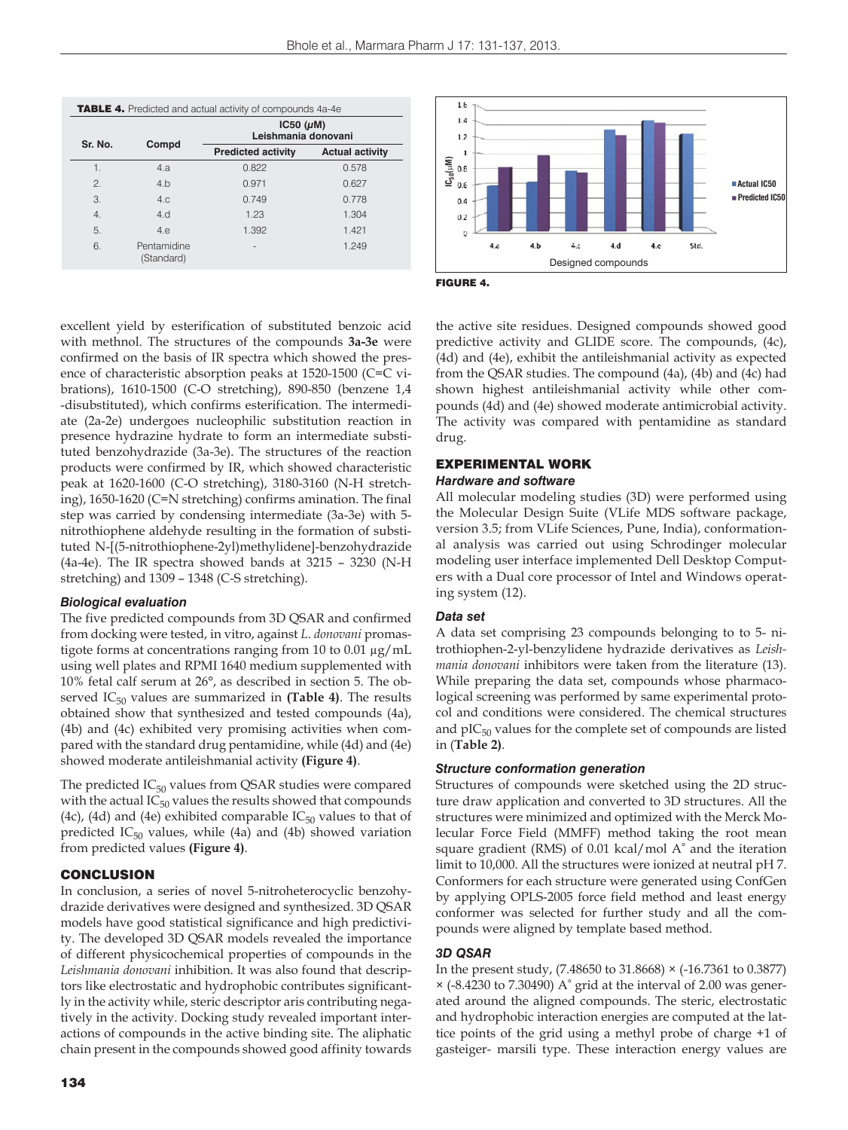| <b>TABLE 4.</b> Predicted and actual activity of compounds 4a-4e |                           |                                          |                        |  |  |
|------------------------------------------------------------------|---------------------------|------------------------------------------|------------------------|--|--|
| Sr. No.                                                          | Compd                     | $IC50$ ( $\mu$ M)<br>Leishmania donovani |                        |  |  |
|                                                                  |                           | <b>Predicted activity</b>                | <b>Actual activity</b> |  |  |
| 1.                                                               | 4.a                       | 0.822                                    | 0.578                  |  |  |
| 2.                                                               | 4.b                       | 0.971                                    | 0.627                  |  |  |
| 3.                                                               | 4.c                       | 0.749                                    | 0.778                  |  |  |
| $\overline{4}$ .                                                 | 4.d                       | 1.23                                     | 1.304                  |  |  |
| 5.                                                               | 4.e                       | 1.392                                    | 1.421                  |  |  |
| 6.                                                               | Pentamidine<br>(Standard) | ۰                                        | 1.249                  |  |  |



FIGURE 4.

excellent yield by esterification of substituted benzoic acid with methnol. The structures of the compounds **3a-3e** were confirmed on the basis of IR spectra which showed the presence of characteristic absorption peaks at 1520-1500 (C=C vibrations), 1610-1500 (C-O stretching), 890-850 (benzene 1,4 -disubstituted), which confirms esterification. The intermediate (2a-2e) undergoes nucleophilic substitution reaction in presence hydrazine hydrate to form an intermediate substituted benzohydrazide (3a-3e). The structures of the reaction products were confirmed by IR, which showed characteristic peak at 1620-1600 (C-O stretching), 3180-3160 (N-H stretching), 1650-1620 (C=N stretching) confirms amination. The final step was carried by condensing intermediate (3a-3e) with 5 nitrothiophene aldehyde resulting in the formation of substituted N-[(5-nitrothiophene-2yl)methylidene]-benzohydrazide (4a-4e). The IR spectra showed bands at 3215 – 3230 (N-H stretching) and 1309 – 1348 (C-S stretching).

# *Biological evaluation*

The five predicted compounds from 3D QSAR and confirmed from docking were tested, in vitro, against *L*. *donovani* promastigote forms at concentrations ranging from 10 to 0.01 μg/mL using well plates and RPMI 1640 medium supplemented with 10% fetal calf serum at 26°, as described in section 5. The observed IC<sub>50</sub> values are summarized in (Table 4). The results obtained show that synthesized and tested compounds (4a), (4b) and (4c) exhibited very promising activities when compared with the standard drug pentamidine, while (4d) and (4e) showed moderate antileishmanial activity **(Figure 4)**.

The predicted  $IC_{50}$  values from QSAR studies were compared with the actual  $IC_{50}$  values the results showed that compounds (4c), (4d) and (4e) exhibited comparable  $IC_{50}$  values to that of predicted  $IC_{50}$  values, while (4a) and (4b) showed variation from predicted values **(Figure 4)**.

# **CONCLUSION**

In conclusion, a series of novel 5-nitroheterocyclic benzohydrazide derivatives were designed and synthesized. 3D QSAR models have good statistical significance and high predictivity. The developed 3D QSAR models revealed the importance of different physicochemical properties of compounds in the *Leishmania donovani* inhibition. It was also found that descriptors like electrostatic and hydrophobic contributes significantly in the activity while, steric descriptor aris contributing negatively in the activity. Docking study revealed important interactions of compounds in the active binding site. The aliphatic chain present in the compounds showed good affinity towards the active site residues. Designed compounds showed good predictive activity and GLIDE score. The compounds, (4c), (4d) and (4e), exhibit the antileishmanial activity as expected from the QSAR studies. The compound (4a), (4b) and (4c) had shown highest antileishmanial activity while other compounds (4d) and (4e) showed moderate antimicrobial activity. The activity was compared with pentamidine as standard drug.

# EXPERIMENTAL WORK

## *Hardware and software*

All molecular modeling studies (3D) were performed using the Molecular Design Suite (VLife MDS software package, version 3.5; from VLife Sciences, Pune, India), conformational analysis was carried out using Schrodinger molecular modeling user interface implemented Dell Desktop Computers with a Dual core processor of Intel and Windows operating system (12).

# *Data set*

A data set comprising 23 compounds belonging to to 5- nitrothiophen-2-yl-benzylidene hydrazide derivatives as *Leishmania donovani* inhibitors were taken from the literature (13). While preparing the data set, compounds whose pharmacological screening was performed by same experimental protocol and conditions were considered. The chemical structures and  $\text{pIC}_{50}$  values for the complete set of compounds are listed in (**Table 2)**.

# *Structure conformation generation*

Structures of compounds were sketched using the 2D structure draw application and converted to 3D structures. All the structures were minimized and optimized with the Merck Molecular Force Field (MMFF) method taking the root mean square gradient (RMS) of 0.01 kcal/mol A° and the iteration limit to 10,000. All the structures were ionized at neutral pH 7. Conformers for each structure were generated using ConfGen by applying OPLS-2005 force field method and least energy conformer was selected for further study and all the compounds were aligned by template based method.

# *3D QSAR*

In the present study, (7.48650 to 31.8668) × (-16.7361 to 0.3877)  $\times$  (-8.4230 to 7.30490) A° grid at the interval of 2.00 was generated around the aligned compounds. The steric, electrostatic and hydrophobic interaction energies are computed at the lattice points of the grid using a methyl probe of charge +1 of gasteiger- marsili type. These interaction energy values are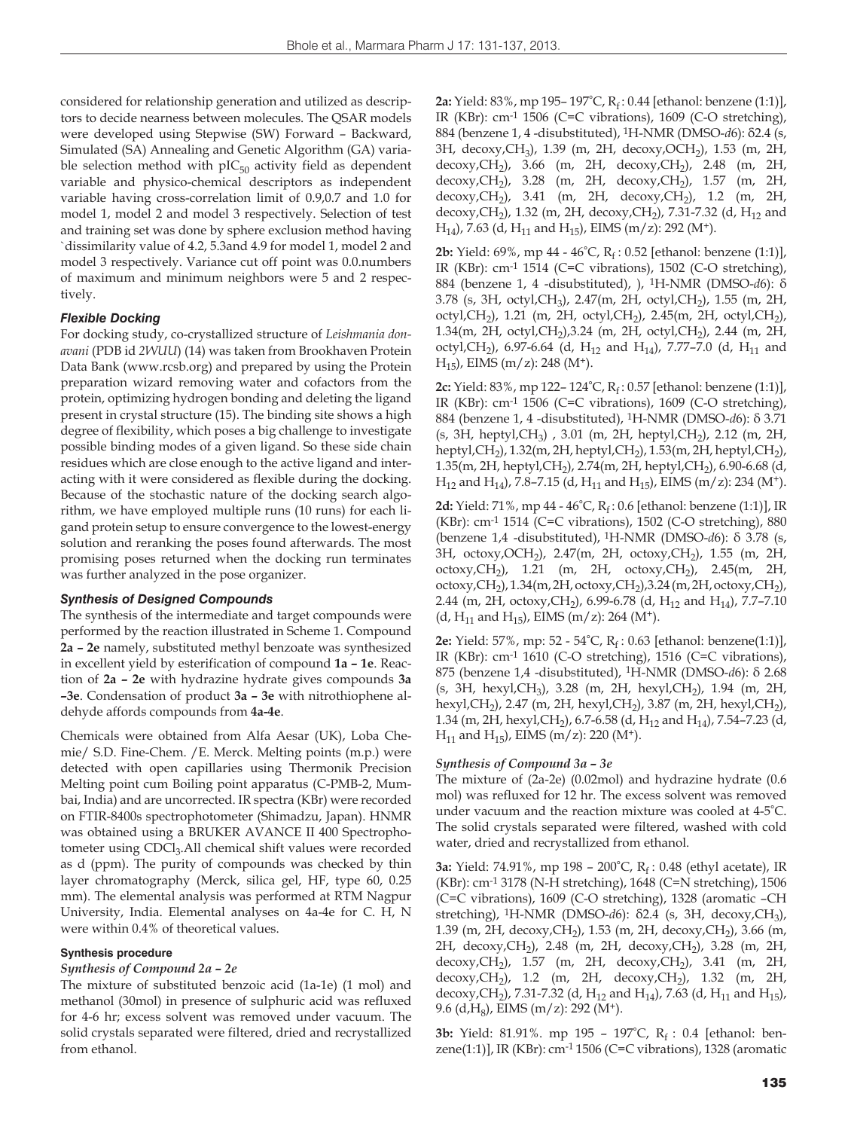considered for relationship generation and utilized as descriptors to decide nearness between molecules. The QSAR models were developed using Stepwise (SW) Forward – Backward, Simulated (SA) Annealing and Genetic Algorithm (GA) variable selection method with  $pIC_{50}$  activity field as dependent variable and physico-chemical descriptors as independent variable having cross-correlation limit of 0.9,0.7 and 1.0 for model 1, model 2 and model 3 respectively. Selection of test and training set was done by sphere exclusion method having `dissimilarity value of 4.2, 5.3and 4.9 for model 1, model 2 and model 3 respectively. Variance cut off point was 0.0.numbers of maximum and minimum neighbors were 5 and 2 respectively.

## *Flexible Docking*

For docking study, co-crystallized structure of *Leishmania donavani* (PDB id *2WUU*) (14) was taken from Brookhaven Protein Data Bank (www.rcsb.org) and prepared by using the Protein preparation wizard removing water and cofactors from the protein, optimizing hydrogen bonding and deleting the ligand present in crystal structure (15). The binding site shows a high degree of flexibility, which poses a big challenge to investigate possible binding modes of a given ligand. So these side chain residues which are close enough to the active ligand and interacting with it were considered as flexible during the docking. Because of the stochastic nature of the docking search algorithm, we have employed multiple runs (10 runs) for each ligand protein setup to ensure convergence to the lowest-energy solution and reranking the poses found afterwards. The most promising poses returned when the docking run terminates was further analyzed in the pose organizer.

## *Synthesis of Designed Compounds*

The synthesis of the intermediate and target compounds were performed by the reaction illustrated in Scheme 1. Compound **2a – 2e** namely, substituted methyl benzoate was synthesized in excellent yield by esterification of compound **1a – 1e**. Reaction of **2a – 2e** with hydrazine hydrate gives compounds **3a –3e**. Condensation of product **3a – 3e** with nitrothiophene aldehyde affords compounds from **4a-4e**.

Chemicals were obtained from Alfa Aesar (UK), Loba Chemie/ S.D. Fine-Chem. /E. Merck. Melting points (m.p.) were detected with open capillaries using Thermonik Precision Melting point cum Boiling point apparatus (C-PMB-2, Mumbai, India) and are uncorrected. IR spectra (KBr) were recorded on FTIR-8400s spectrophotometer (Shimadzu, Japan). HNMR was obtained using a BRUKER AVANCE II 400 Spectrophotometer using CDCl<sub>3</sub>.All chemical shift values were recorded as d (ppm). The purity of compounds was checked by thin layer chromatography (Merck, silica gel, HF, type 60, 0.25 mm). The elemental analysis was performed at RTM Nagpur University, India. Elemental analyses on 4a-4e for C. H, N were within 0.4% of theoretical values.

## **Synthesis procedure**

## *Synthesis of Compound 2a – 2e*

The mixture of substituted benzoic acid (1a-1e) (1 mol) and methanol (30mol) in presence of sulphuric acid was refluxed for 4-6 hr; excess solvent was removed under vacuum. The solid crystals separated were filtered, dried and recrystallized from ethanol.

2a: Yield: 83%, mp 195-197°C, R<sub>f</sub>: 0.44 [ethanol: benzene (1:1)], IR (KBr): cm-1 1506 (C=C vibrations), 1609 (C-O stretching), 884 (benzene 1, 4 -disubstituted), 1H-NMR (DMSO-*d*6): δ2.4 (s, 3H, decoxy, CH<sub>3</sub>), 1.39 (m, 2H, decoxy, OCH<sub>2</sub>), 1.53 (m, 2H, decoxy, CH<sub>2</sub>), 3.66 (m, 2H, decoxy, CH<sub>2</sub>), 2.48 (m, 2H, decoxy, CH<sub>2</sub>), 3.28 (m, 2H, decoxy, CH<sub>2</sub>), 1.57 (m, 2H, decoxy, CH<sub>2</sub>), 3.41 (m, 2H, decoxy, CH<sub>2</sub>), 1.2 (m, 2H, decoxy, CH<sub>2</sub>), 1.32 (m, 2H, decoxy, CH<sub>2</sub>), 7.31-7.32 (d, H<sub>12</sub> and  $H<sub>14</sub>$ , 7.63 (d,  $H<sub>11</sub>$  and  $H<sub>15</sub>$ ), EIMS (m/z): 292 (M<sup>+</sup>).

**2b:** Yield: 69%, mp 44 - 46°C, R<sub>f</sub>: 0.52 [ethanol: benzene (1:1)], IR (KBr): cm-1 1514 (C=C vibrations), 1502 (C-O stretching), 884 (benzene 1, 4 -disubstituted), ), 1H-NMR (DMSO-*d*6): δ 3.78 (s, 3H, octyl, CH<sub>3</sub>), 2.47(m, 2H, octyl, CH<sub>2</sub>), 1.55 (m, 2H, octyl,CH<sub>2</sub>), 1.21 (m, 2H, octyl,CH<sub>2</sub>), 2.45(m, 2H, octyl,CH<sub>2</sub>), 1.34(m, 2H, octyl,CH2),3.24 (m, 2H, octyl,CH2), 2.44 (m, 2H, octyl,CH<sub>2</sub>), 6.97-6.64 (d, H<sub>12</sub> and H<sub>14</sub>), 7.77-7.0 (d, H<sub>11</sub> and  $H_{15}$ , EIMS (m/z): 248 (M<sup>+</sup>).

**2c:** Yield: 83%, mp 122– 124°C, R<sub>f</sub>: 0.57 [ethanol: benzene (1:1)], IR (KBr): cm-1 1506 (C=C vibrations), 1609 (C-O stretching), 884 (benzene 1, 4 -disubstituted), 1H-NMR (DMSO-*d*6): δ 3.71  $(s, 3H, \text{heptyl}, CH_3)$ , 3.01 (m, 2H, heptyl, CH<sub>2</sub>), 2.12 (m, 2H, heptyl,CH<sub>2</sub>), 1.32(m, 2H, heptyl,CH<sub>2</sub>), 1.53(m, 2H, heptyl,CH<sub>2</sub>), 1.35(m, 2H, heptyl, CH<sub>2</sub>), 2.74(m, 2H, heptyl, CH<sub>2</sub>), 6.90-6.68 (d,  $H_{12}$  and  $H_{14}$ ), 7.8–7.15 (d,  $H_{11}$  and  $H_{15}$ ), EIMS (m/z): 234 (M<sup>+</sup>).

**2d:** Yield: 71%, mp 44 - 46°C, R<sub>f</sub>: 0.6 [ethanol: benzene (1:1)], IR (KBr): cm-1 1514 (C=C vibrations), 1502 (C-O stretching), 880 (benzene 1,4 -disubstituted), 1H-NMR (DMSO-*d*6): δ 3.78 (s, 3H, octoxy, OCH<sub>2</sub>), 2.47(m, 2H, octoxy, CH<sub>2</sub>), 1.55 (m, 2H, octoxy, CH<sub>2</sub>), 1.21 (m, 2H, octoxy, CH<sub>2</sub>), 2.45(m, 2H, octoxy, CH<sub>2</sub>), 1.34(m, 2H, octoxy, CH<sub>2</sub>), 3.24 (m, 2H, octoxy, CH<sub>2</sub>), 2.44 (m, 2H, octoxy, CH<sub>2</sub>), 6.99-6.78 (d, H<sub>12</sub> and H<sub>14</sub>), 7.7-7.10 (d, H<sub>11</sub> and H<sub>15</sub>), EIMS (m/z): 264 (M<sup>+</sup>).

**2e:** Yield: 57%, mp: 52 - 54°C, R<sub>f</sub>: 0.63 [ethanol: benzene(1:1)], IR (KBr): cm-1 1610 (C-O stretching), 1516 (C=C vibrations), 875 (benzene 1,4 -disubstituted), 1H-NMR (DMSO-*d*6): δ 2.68 (s, 3H, hexyl, CH<sub>3</sub>), 3.28 (m, 2H, hexyl, CH<sub>2</sub>), 1.94 (m, 2H, hexyl,CH<sub>2</sub>), 2.47 (m, 2H, hexyl,CH<sub>2</sub>), 3.87 (m, 2H, hexyl,CH<sub>2</sub>), 1.34 (m, 2H, hexyl, CH<sub>2</sub>), 6.7-6.58 (d, H<sub>12</sub> and H<sub>14</sub>), 7.54-7.23 (d,  $H_{11}$  and  $H_{15}$ ), EIMS (m/z): 220 (M<sup>+</sup>).

## *Synthesis of Compound 3a – 3e*

The mixture of (2a-2e) (0.02mol) and hydrazine hydrate (0.6 mol) was refluxed for 12 hr. The excess solvent was removed under vacuum and the reaction mixture was cooled at 4-5°C. The solid crystals separated were filtered, washed with cold water, dried and recrystallized from ethanol.

**3a:** Yield: 74.91%, mp 198 - 200°C, R<sub>f</sub>: 0.48 (ethyl acetate), IR (KBr): cm-1 3178 (N-H stretching), 1648 (C=N stretching), 1506 (C=C vibrations), 1609 (C-O stretching), 1328 (aromatic –CH stretching), 1H-NMR (DMSO-*d*6): δ2.4 (s, 3H, decoxy,CH3), 1.39 (m, 2H, decoxy, CH<sub>2</sub>), 1.53 (m, 2H, decoxy, CH<sub>2</sub>), 3.66 (m, 2H, decoxy, CH<sub>2</sub>), 2.48 (m, 2H, decoxy, CH<sub>2</sub>), 3.28 (m, 2H, decoxy, CH<sub>2</sub>), 1.57 (m, 2H, decoxy, CH<sub>2</sub>), 3.41 (m, 2H, decoxy, CH<sub>2</sub>), 1.2 (m, 2H, decoxy, CH<sub>2</sub>), 1.32 (m, 2H, decoxy, CH<sub>2</sub>), 7.31-7.32 (d, H<sub>12</sub> and H<sub>14</sub>), 7.63 (d, H<sub>11</sub> and H<sub>15</sub>), 9.6 (d,H<sub>8</sub>), EIMS (m/z): 292 (M<sup>+</sup>).

**3b:** Yield: 81.91%. mp 195 - 197°C, R<sub>f</sub> : 0.4 [ethanol: benzene(1:1)], IR (KBr): cm-1 1506 (C=C vibrations), 1328 (aromatic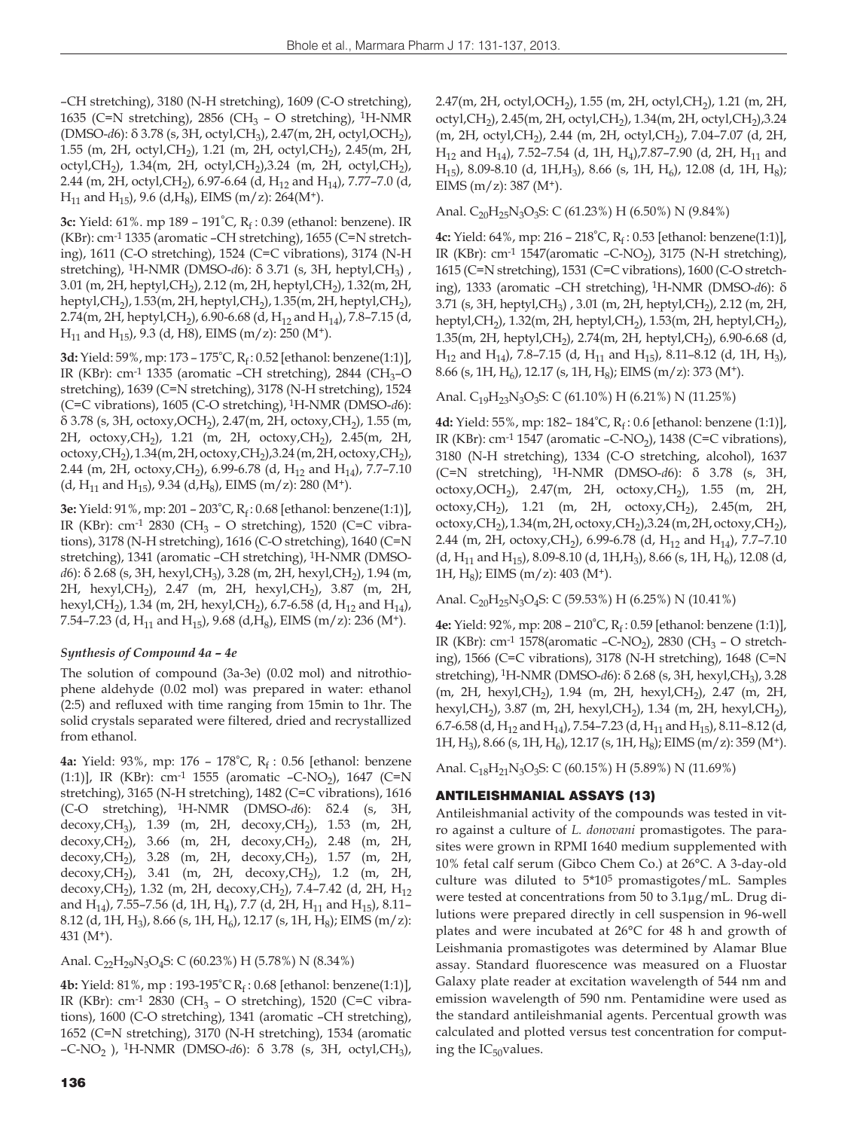–CH stretching), 3180 (N-H stretching), 1609 (C-O stretching), 1635 (C=N stretching), 2856 (CH<sub>3</sub> – O stretching), <sup>1</sup>H-NMR (DMSO-*d*6): δ 3.78 (s, 3H, octyl,CH3), 2.47(m, 2H, octyl,OCH2), 1.55 (m, 2H, octyl,CH2), 1.21 (m, 2H, octyl,CH2), 2.45(m, 2H, octyl,CH<sub>2</sub>), 1.34(m, 2H, octyl,CH<sub>2</sub>),3.24 (m, 2H, octyl,CH<sub>2</sub>), 2.44 (m, 2H, octyl, CH<sub>2</sub>), 6.97-6.64 (d, H<sub>12</sub> and H<sub>14</sub>), 7.77-7.0 (d,  $H_{11}$  and  $H_{15}$ ), 9.6 (d, H<sub>8</sub>), EIMS (m/z): 264(M<sup>+</sup>).

**3c:** Yield: 61%, mp 189 - 191°C, R<sub>6</sub>: 0.39 (ethanol: benzene). IR (KBr): cm-1 1335 (aromatic –CH stretching), 1655 (C=N stretching), 1611 (C-O stretching), 1524 (C=C vibrations), 3174 (N-H stretching), <sup>1</sup>H-NMR (DMSO-*d*6): δ 3.71 (s, 3H, heptyl,CH<sub>3</sub>), 3.01 (m, 2H, heptyl, CH<sub>2</sub>), 2.12 (m, 2H, heptyl, CH<sub>2</sub>), 1.32 (m, 2H, heptyl,CH<sub>2</sub>), 1.53(m, 2H, heptyl,CH<sub>2</sub>), 1.35(m, 2H, heptyl,CH<sub>2</sub>), 2.74(m, 2H, heptyl, CH<sub>2</sub>), 6.90-6.68 (d, H<sub>12</sub> and H<sub>14</sub>), 7.8-7.15 (d,  $H_{11}$  and  $H_{15}$ ), 9.3 (d, H8), EIMS (m/z): 250 (M<sup>+</sup>).

**3d:** Yield: 59%, mp: 173 – 175°C, Rf : 0.52 [ethanol: benzene(1:1)], IR (KBr): cm<sup>-1</sup> 1335 (aromatic –CH stretching), 2844 (CH<sub>3</sub>–O stretching), 1639 (C=N stretching), 3178 (N-H stretching), 1524 (C=C vibrations), 1605 (C-O stretching), 1H-NMR (DMSO-*d*6): δ 3.78 (s, 3H, octoxy, OCH<sub>2</sub>), 2.47(m, 2H, octoxy, CH<sub>2</sub>), 1.55 (m, 2H, octoxy,CH2), 1.21 (m, 2H, octoxy,CH2), 2.45(m, 2H, octoxy, CH<sub>2</sub>), 1.34(m, 2H, octoxy, CH<sub>2</sub>), 3.24 (m, 2H, octoxy, CH<sub>2</sub>), 2.44 (m, 2H, octoxy, CH<sub>2</sub>), 6.99-6.78 (d, H<sub>12</sub> and H<sub>14</sub>), 7.7–7.10 (d, H<sub>11</sub> and H<sub>15</sub>), 9.34 (d, H<sub>8</sub>), EIMS (m/z): 280 (M<sup>+</sup>).

**3e:** Yield: 91%, mp: 201 – 203°C, Rf : 0.68 [ethanol: benzene(1:1)], IR (KBr): cm<sup>-1</sup> 2830 (CH<sub>3</sub> – O stretching), 1520 (C=C vibrations), 3178 (N-H stretching), 1616 (C-O stretching), 1640 (C=N stretching), 1341 (aromatic –CH stretching), 1H-NMR (DMSO*d*6): δ 2.68 (s, 3H, hexyl, CH<sub>3</sub>), 3.28 (m, 2H, hexyl, CH<sub>2</sub>), 1.94 (m, 2H, hexyl,CH2), 2.47 (m, 2H, hexyl,CH2), 3.87 (m, 2H, hexyl,CH<sub>2</sub>), 1.34 (m, 2H, hexyl,CH<sub>2</sub>), 6.7-6.58 (d, H<sub>12</sub> and H<sub>14</sub>), 7.54–7.23 (d, H<sub>11</sub> and H<sub>15</sub>), 9.68 (d, H<sub>8</sub>), EIMS (m/z): 236 (M<sup>+</sup>).

## *Synthesis of Compound 4a – 4e*

The solution of compound (3a-3e) (0.02 mol) and nitrothiophene aldehyde (0.02 mol) was prepared in water: ethanol (2:5) and refluxed with time ranging from 15min to 1hr. The solid crystals separated were filtered, dried and recrystallized from ethanol.

**4a:** Yield: 93%, mp: 176 - 178°C, R<sub>f</sub> : 0.56 [ethanol: benzene (1:1)], IR (KBr): cm<sup>-1</sup> 1555 (aromatic -C-NO<sub>2</sub>), 1647 (C=N stretching), 3165 (N-H stretching), 1482 (C=C vibrations), 1616 (C-O stretching), 1H-NMR (DMSO-*d*6): δ2.4 (s, 3H, decoxy,CH<sub>3</sub>), 1.39 (m, 2H, decoxy,CH<sub>2</sub>), 1.53 (m, 2H, decoxy,CH<sub>2</sub>), 3.66 (m, 2H, decoxy,CH<sub>2</sub>), 2.48 (m, 2H, decoxy,CH<sub>2</sub>), 3.66 (m, 2H, decoxy,CH<sub>2</sub>), 2.48 (m, 2H, decoxy,CH<sub>2</sub>), 3.28 (m, 2H, decoxy,CH<sub>2</sub>), 1.57 (m, 2H, decoxy, CH<sub>2</sub>), 3.28 (m, 2H, decoxy, CH<sub>2</sub>), 1.57 decoxy, CH<sub>2</sub>), 3.41 (m, 2H, decoxy, CH<sub>2</sub>), 1.2 (m, 2H, decoxy, CH<sub>2</sub>), 1.32 (m, 2H, decoxy, CH<sub>2</sub>), 7.4-7.42 (d, 2H, H<sub>12</sub> and H<sub>14</sub>), 7.55–7.56 (d, 1H, H<sub>4</sub>), 7.7 (d, 2H, H<sub>11</sub> and H<sub>15</sub>), 8.11– 8.12 (d, 1H, H<sub>3</sub>), 8.66 (s, 1H, H<sub>6</sub>), 12.17 (s, 1H, H<sub>8</sub>); EIMS (m/z): 431 $(M^+).$ 

Anal. C<sub>22</sub>H<sub>29</sub>N<sub>3</sub>O<sub>4</sub>S: C (60.23%) H (5.78%) N (8.34%)

**4b:** Yield: 81%, mp : 193-195°C R<sub>f</sub> : 0.68 [ethanol: benzene(1:1)], IR (KBr): cm<sup>-1</sup> 2830 (CH<sub>3</sub> – O stretching), 1520 (C=C vibrations), 1600 (C-O stretching), 1341 (aromatic –CH stretching), 1652 (C=N stretching), 3170 (N-H stretching), 1534 (aromatic –C-NO2 ), 1H-NMR (DMSO-*d*6): δ 3.78 (s, 3H, octyl,CH3),

136

2.47(m, 2H, octyl, OCH<sub>2</sub>), 1.55 (m, 2H, octyl, CH<sub>2</sub>), 1.21 (m, 2H, octyl,CH<sub>2</sub>), 2.45(m, 2H, octyl,CH<sub>2</sub>), 1.34(m, 2H, octyl,CH<sub>2</sub>), 3.24 (m, 2H, octyl,CH2), 2.44 (m, 2H, octyl,CH2), 7.04–7.07 (d, 2H,  $H_{12}$  and  $H_{14}$ ), 7.52–7.54 (d, 1H, H<sub>4</sub>), 7.87–7.90 (d, 2H, H<sub>11</sub> and H<sub>15</sub>), 8.09-8.10 (d, 1H, H<sub>3</sub>), 8.66 (s, 1H, H<sub>6</sub>), 12.08 (d, 1H, H<sub>8</sub>); EIMS  $(m/z)$ : 387  $(M<sup>+</sup>)$ .

#### Anal.  $C_{20}H_{25}N_3O_3S$ : C (61.23%) H (6.50%) N (9.84%)

**4c:** Yield: 64%, mp: 216 – 218°C, Rf : 0.53 [ethanol: benzene(1:1)], IR (KBr): cm<sup>-1</sup> 1547(aromatic -C-NO<sub>2</sub>), 3175 (N-H stretching), 1615 (C=N stretching), 1531 (C=C vibrations), 1600 (C-O stretching), 1333 (aromatic –CH stretching), 1H-NMR (DMSO-*d*6): δ 3.71 (s, 3H, heptyl, CH<sub>3</sub>), 3.01 (m, 2H, heptyl, CH<sub>2</sub>), 2.12 (m, 2H, heptyl,CH<sub>2</sub>), 1.32(m, 2H, heptyl,CH<sub>2</sub>), 1.53(m, 2H, heptyl,CH<sub>2</sub>), 1.35(m, 2H, heptyl, CH<sub>2</sub>), 2.74(m, 2H, heptyl, CH<sub>2</sub>), 6.90-6.68 (d,  $H_{12}$  and  $H_{14}$ ), 7.8–7.15 (d,  $H_{11}$  and  $H_{15}$ ), 8.11–8.12 (d, 1H,  $H_{3}$ ), 8.66 (s, 1H, H<sub>6</sub>), 12.17 (s, 1H, H<sub>8</sub>); EIMS (m/z): 373 (M<sup>+</sup>).

## Anal.  $C_{19}H_{23}N_3O_3S$ : C (61.10%) H (6.21%) N (11.25%)

**4d:** Yield: 55%, mp: 182-184°C, R<sub>f</sub>: 0.6 [ethanol: benzene (1:1)], IR (KBr): cm<sup>-1</sup> 1547 (aromatic  $-C$ -NO<sub>2</sub>), 1438 (C=C vibrations), 3180 (N-H stretching), 1334 (C-O stretching, alcohol), 1637 (C=N stretching), 1H-NMR (DMSO-*d*6): δ 3.78 (s, 3H, octoxy, OCH<sub>2</sub>), 2.47(m, 2H, octoxy, CH<sub>2</sub>), 1.55 (m, 2H, octoxy, CH<sub>2</sub>), 1.21 (m, 2H, octoxy, CH<sub>2</sub>), 2.45(m, 2H, octoxy,CH<sub>2</sub>), 1.34(m, 2H, octoxy,CH<sub>2</sub>), 3.24 (m, 2H, octoxy,CH<sub>2</sub>), 2.44 (m, 2H, octoxy, CH<sub>2</sub>), 6.99-6.78 (d, H<sub>12</sub> and H<sub>14</sub>), 7.7-7.10  $(d, H_{11} \text{ and } H_{15})$ , 8.09-8.10  $(d, 1H, H_3)$ , 8.66 (s, 1H, H<sub>6</sub>), 12.08 (d, 1H,  $H_8$ ); EIMS (m/z): 403 (M<sup>+</sup>).

Anal. C<sub>20</sub>H<sub>25</sub>N<sub>3</sub>O<sub>4</sub>S: C (59.53%) H (6.25%) N (10.41%)

**4e:** Yield: 92%, mp: 208 - 210°C, R<sub>f</sub>: 0.59 [ethanol: benzene (1:1)], IR (KBr): cm<sup>-1</sup> 1578(aromatic  $-C-NO_2$ ), 2830 (CH<sub>3</sub> – O stretching), 1566 (C=C vibrations), 3178 (N-H stretching), 1648 (C=N stretching), 1H-NMR (DMSO-*d*6): δ 2.68 (s, 3H, hexyl,CH3), 3.28 (m, 2H, hexyl, CH<sub>2</sub>), 1.94 (m, 2H, hexyl, CH<sub>2</sub>), 2.47 (m, 2H, hexyl,CH<sub>2</sub>), 3.87 (m, 2H, hexyl,CH<sub>2</sub>), 1.34 (m, 2H, hexyl,CH<sub>2</sub>), 6.7-6.58 (d, H<sub>12</sub> and H<sub>14</sub>), 7.54–7.23 (d, H<sub>11</sub> and H<sub>15</sub>), 8.11–8.12 (d, 1H, H<sub>3</sub>), 8.66 (s, 1H, H<sub>6</sub>), 12.17 (s, 1H, H<sub>8</sub>); EIMS (m/z): 359 (M<sup>+</sup>).

Anal. C<sub>18</sub>H<sub>21</sub>N<sub>3</sub>O<sub>3</sub>S: C (60.15%) H (5.89%) N (11.69%)

## ANTILEISHMANIAL ASSAYS (13)

Antileishmanial activity of the compounds was tested in vitro against a culture of *L. donovani* promastigotes. The parasites were grown in RPMI 1640 medium supplemented with 10% fetal calf serum (Gibco Chem Co.) at 26°C. A 3-day-old culture was diluted to 5\*105 promastigotes/mL. Samples were tested at concentrations from 50 to 3.1μg/mL. Drug dilutions were prepared directly in cell suspension in 96-well plates and were incubated at 26°C for 48 h and growth of Leishmania promastigotes was determined by Alamar Blue assay. Standard fluorescence was measured on a Fluostar Galaxy plate reader at excitation wavelength of 544 nm and emission wavelength of 590 nm. Pentamidine were used as the standard antileishmanial agents. Percentual growth was calculated and plotted versus test concentration for computing the  $IC_{50}$ values.